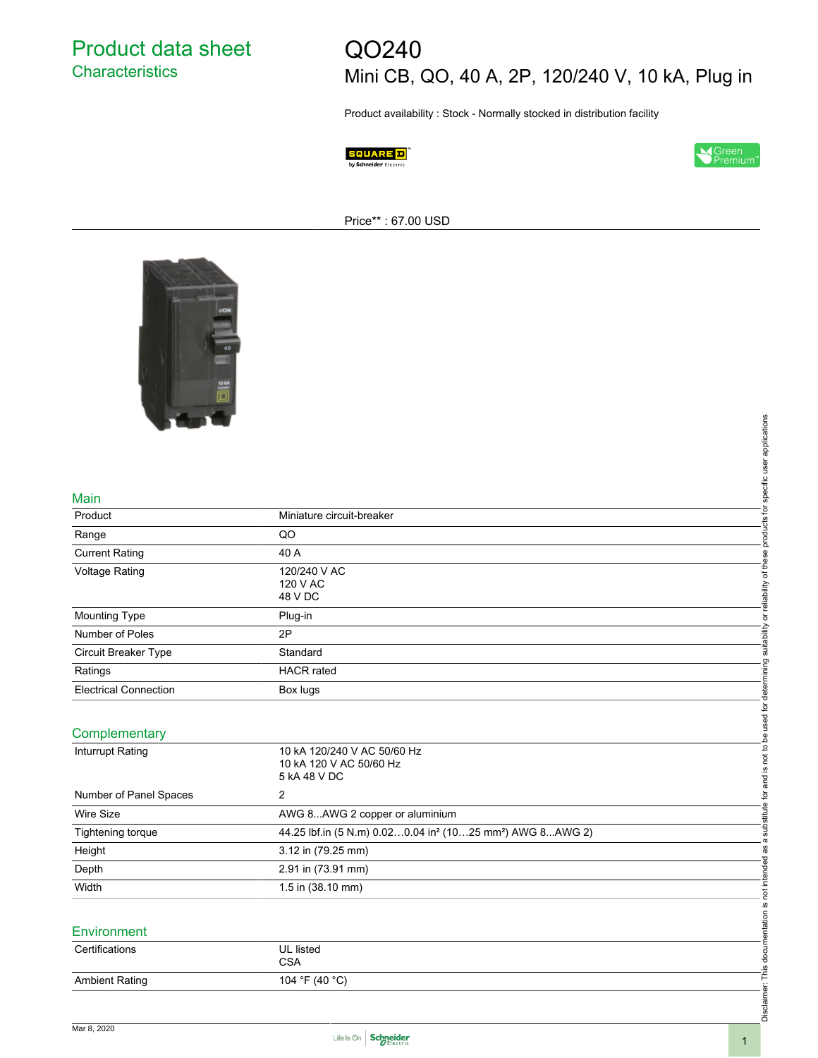Product data sheet **Characteristics** 

# QO240

Mini CB, QO, 40 A, 2P, 120/240 V, 10 kA, Plug in

Product availability : Stock - Normally stocked in distribution facility





Price\*\* : 67.00 USD



#### Main

| <b>Contract Contract</b>     |                                                                                   |                                                                                                                   |
|------------------------------|-----------------------------------------------------------------------------------|-------------------------------------------------------------------------------------------------------------------|
|                              |                                                                                   |                                                                                                                   |
|                              |                                                                                   |                                                                                                                   |
|                              |                                                                                   |                                                                                                                   |
| Main                         |                                                                                   |                                                                                                                   |
| Product                      | Miniature circuit-breaker                                                         |                                                                                                                   |
| Range                        | QO                                                                                |                                                                                                                   |
| <b>Current Rating</b>        | 40 A                                                                              |                                                                                                                   |
| <b>Voltage Rating</b>        | 120/240 V AC<br>120 V AC<br>48 V DC                                               | and is not to be used for determining suitability or reliability of these products for specific user applications |
| Mounting Type                | Plug-in                                                                           |                                                                                                                   |
| Number of Poles              | 2P                                                                                |                                                                                                                   |
| Circuit Breaker Type         | Standard                                                                          |                                                                                                                   |
| Ratings                      | <b>HACR</b> rated                                                                 |                                                                                                                   |
| <b>Electrical Connection</b> | Box lugs                                                                          |                                                                                                                   |
|                              |                                                                                   |                                                                                                                   |
| Complementary                |                                                                                   |                                                                                                                   |
| Inturrupt Rating             | 10 kA 120/240 V AC 50/60 Hz<br>10 kA 120 V AC 50/60 Hz<br>5 kA 48 V DC            |                                                                                                                   |
| Number of Panel Spaces       | 2                                                                                 |                                                                                                                   |
| <b>Wire Size</b>             | AWG 8AWG 2 copper or aluminium                                                    |                                                                                                                   |
| Tightening torque            | 44.25 lbf.in (5 N.m) 0.020.04 in <sup>2</sup> (1025 mm <sup>2</sup> ) AWG 8AWG 2) | a substitute for                                                                                                  |
| Height                       | 3.12 in (79.25 mm)                                                                |                                                                                                                   |
| Depth                        | 2.91 in (73.91 mm)                                                                |                                                                                                                   |
| Width                        | 1.5 in (38.10 mm)                                                                 |                                                                                                                   |
|                              |                                                                                   |                                                                                                                   |
| Environment                  |                                                                                   |                                                                                                                   |
| Certifications               | <b>UL</b> listed                                                                  |                                                                                                                   |
|                              | <b>CSA</b>                                                                        |                                                                                                                   |
| <b>Ambient Rating</b>        | 104 °F (40 °C)                                                                    | Disclaimer: This documentation is not intended as                                                                 |
|                              |                                                                                   |                                                                                                                   |
|                              |                                                                                   |                                                                                                                   |

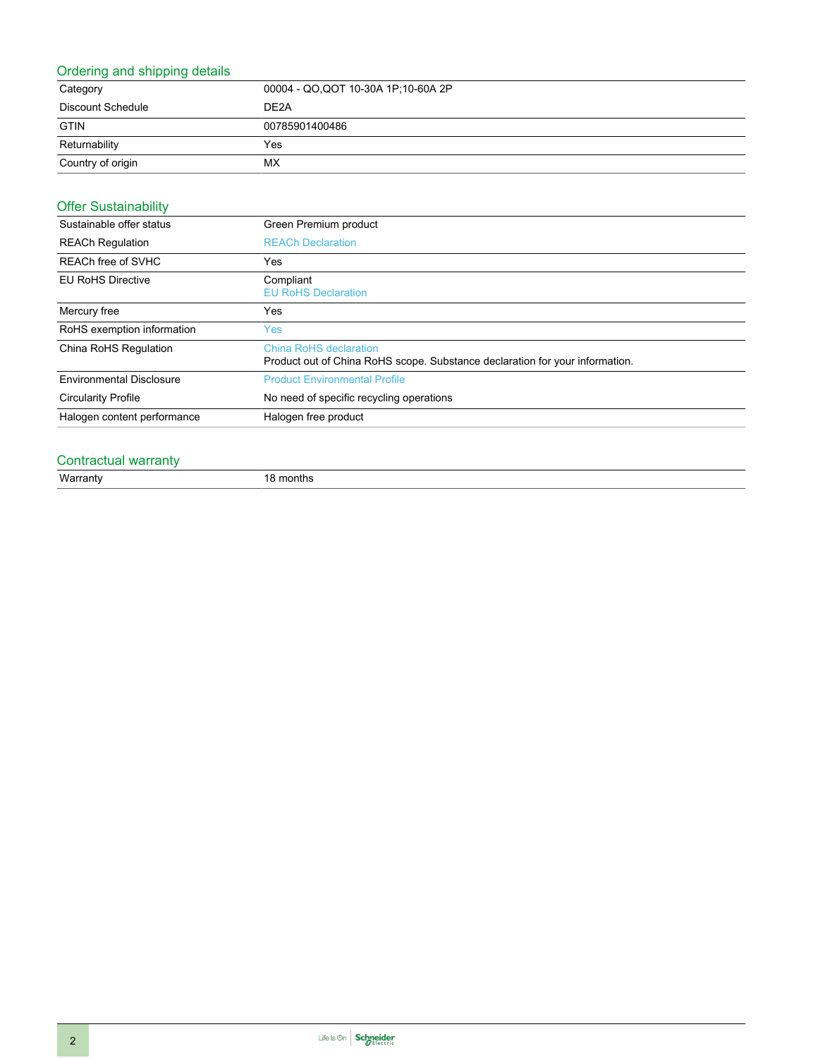#### Ordering and shipping details

| Category          | 00004 - QO, QOT 10-30A 1P; 10-60A 2P |
|-------------------|--------------------------------------|
| Discount Schedule | DE <sub>2</sub> A                    |
| <b>GTIN</b>       | 00785901400486                       |
| Returnability     | Yes                                  |
| Country of origin | МX                                   |

#### Offer Sustainability

| Sustainable offer status        | Green Premium product                                                                                  |  |
|---------------------------------|--------------------------------------------------------------------------------------------------------|--|
| <b>REACh Regulation</b>         | <b>REACh Declaration</b>                                                                               |  |
| REACh free of SVHC              | Yes                                                                                                    |  |
| <b>EU RoHS Directive</b>        | Compliant<br><b>EU RoHS Declaration</b>                                                                |  |
| Mercury free                    | Yes                                                                                                    |  |
| RoHS exemption information      | Yes.                                                                                                   |  |
| China RoHS Regulation           | China RoHS declaration<br>Product out of China RoHS scope. Substance declaration for your information. |  |
| <b>Environmental Disclosure</b> | <b>Product Environmental Profile</b>                                                                   |  |
| <b>Circularity Profile</b>      | No need of specific recycling operations                                                               |  |
| Halogen content performance     | Halogen free product                                                                                   |  |

### Contractual warranty

Warranty 18 months